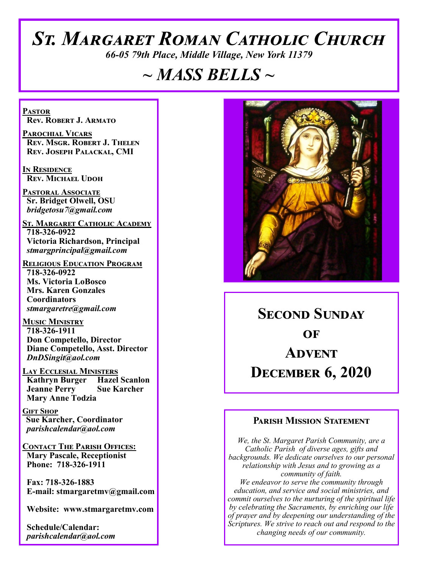# *St. Margaret Roman Catholic Church*

*66-05 79th Place, Middle Village, New York 11379*

# *~ MASS BELLS ~*

**Pastor Rev. Robert J. Armato**

**Parochial Vicars Rev. Msgr. Robert J. Thelen Rev. Joseph Palackal, CMI**

**In Residence Rev. Michael Udoh**

**Pastoral Associate Sr. Bridget Olwell, OSU**  *bridgetosu7@gmail.com*

**St. Margaret Catholic Academy 718-326-0922 Victoria Richardson, Principal**  *stmargprincipal@gmail.com*

**Religious Education Program 718-326-0922 Ms. Victoria LoBosco Mrs. Karen Gonzales Coordinators** *stmargaretre@gmail.com*

**Music Ministry 718-326-1911 Don Competello, Director Diane Competello, Asst. Director** *DnDSingit@aol.com*

**LAY ECCLESIAL MINISTERS<br>
Kathryn Burger Hazel Scanlon Kathryn Burger Jeanne Perry Sue Karcher Mary Anne Todzia**

**Gift Shop Sue Karcher, Coordinator** *parishcalendar@aol.com*

**Contact The Parish Offices: Mary Pascale, Receptionist Phone: 718-326-1911** 

 **Fax: 718-326-1883 E-mail: stmargaretmv@gmail.com**

 **Website: www.stmargaretmv.com**

 **Schedule/Calendar:** *parishcalendar@aol.com* 



**Second Sunday**   $\Omega$ **F Advent December 6, 2020** 

#### **Parish Mission Statement**

*We, the St. Margaret Parish Community, are a Catholic Parish of diverse ages, gifts and backgrounds. We dedicate ourselves to our personal relationship with Jesus and to growing as a community of faith. We endeavor to serve the community through education, and service and social ministries, and commit ourselves to the nurturing of the spiritual life by celebrating the Sacraments, by enriching our life of prayer and by deepening our understanding of the Scriptures. We strive to reach out and respond to the changing needs of our community.*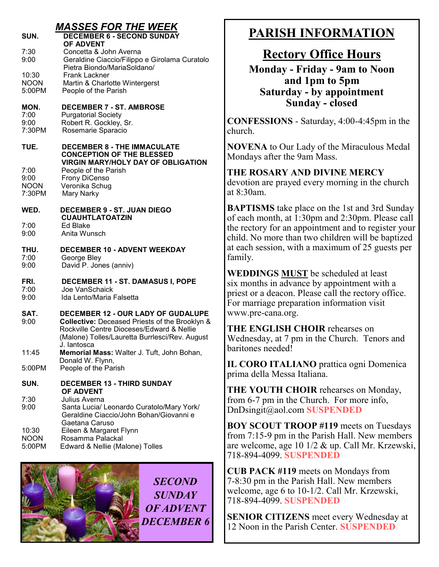|                                               | <b>MASSES FOR THE WEEK</b>                                                                                                                                                                                                      |
|-----------------------------------------------|---------------------------------------------------------------------------------------------------------------------------------------------------------------------------------------------------------------------------------|
| SUN.                                          | <b>DECEMBER 6 - SECOND SUNDAY</b>                                                                                                                                                                                               |
| 7:30<br>9:00                                  | <b>OF ADVENT</b><br>Concetta & John Averna<br>Geraldine Ciaccio/Filippo e Girolama Curatolo<br>Pietra Biondo/MariaSoldano/                                                                                                      |
| 10:30<br><b>NOON</b><br>5:00PM                | <b>Frank Lackner</b><br>Martin & Charlotte Wintergerst<br>People of the Parish                                                                                                                                                  |
| MON.<br>7:00<br>9:00<br>7:30PM                | <b>DECEMBER 7 - ST. AMBROSE</b><br><b>Purgatorial Society</b><br>Robert R. Gockley, Sr.<br>Rosemarie Sparacio                                                                                                                   |
| TUE.<br>7:00<br>9:00<br><b>NOON</b><br>7:30PM | <b>DECEMBER 8 - THE IMMACULATE</b><br><b>CONCEPTION OF THE BLESSED</b><br><b>VIRGIN MARY/HOLY DAY OF OBLIGATION</b><br>People of the Parish<br>Frony DiCenso<br>Veronika Schug<br>Mary Narky                                    |
| WED.<br>7:00<br>9:00                          | <b>DECEMBER 9 - ST. JUAN DIEGO</b><br><b>CUAUHTLATOATZIN</b><br>Ed Blake<br>Anita Wunsch                                                                                                                                        |
| THU.<br>7:00<br>9:00                          | <b>DECEMBER 10 - ADVENT WEEKDAY</b><br>George Bley<br>David P. Jones (anniv)                                                                                                                                                    |
| FRI.<br>7:00<br>9:00                          | DECEMBER 11 - ST. DAMASUS I, POPE<br>Joe VanSchaick<br>Ida Lento/Maria Falsetta                                                                                                                                                 |
| SAT.<br>9:00                                  | DECEMBER 12 - OUR LADY OF GUDALUPE<br>Collective: Deceased Priests of the Brooklyn &<br>Rockville Centre Dioceses/Edward & Nellie<br>(Malone) Tolles/Lauretta Burrlesci/Rev. August                                             |
| 11:45                                         | J. lantosca<br>Memorial Mass: Walter J. Tuft, John Bohan,<br>Donald W. Flynn,                                                                                                                                                   |
| 5:00PM                                        | People of the Parish                                                                                                                                                                                                            |
| SUN.<br>7:30<br>9:00<br>10:30<br><b>NOON</b>  | <b>DECEMBER 13 - THIRD SUNDAY</b><br><b>OF ADVENT</b><br>Julius Averna<br>Santa Lucia/ Leonardo Curatolo/Mary York/<br>Geraldine Ciaccio/John Bohan/Giovanni e<br>Gaetana Caruso<br>Eileen & Margaret Flynn<br>Rosamma Palackal |
| 5:00PM                                        | Edward & Nellie (Malone) Tolles                                                                                                                                                                                                 |



*SECOND SUNDAY OF ADVENT DECEMBER 6*

## **PARISH INFORMATION**

## **Rectory Office Hours**

**Monday - Friday - 9am to Noon and 1pm to 5pm Saturday - by appointment Sunday - closed**

**CONFESSIONS** - Saturday, 4:00-4:45pm in the church.

**NOVENA** to Our Lady of the Miraculous Medal Mondays after the 9am Mass.

**THE ROSARY AND DIVINE MERCY** devotion are prayed every morning in the church at 8:30am.

**BAPTISMS** take place on the 1st and 3rd Sunday of each month, at 1:30pm and 2:30pm. Please call the rectory for an appointment and to register your child. No more than two children will be baptized at each session, with a maximum of 25 guests per family.

**WEDDINGS MUST** be scheduled at least six months in advance by appointment with a priest or a deacon. Please call the rectory office. For marriage preparation information visit www.pre-cana.org.

**THE ENGLISH CHOIR** rehearses on Wednesday, at 7 pm in the Church. Tenors and baritones needed!

**IL CORO ITALIANO** prattica ogni Domenica prima della Messa Italiana.

**THE YOUTH CHOIR** rehearses on Monday, from 6-7 pm in the Church. For more info, DnDsingit@aol.com **SUSPENDED**

**BOY SCOUT TROOP #119** meets on Tuesdays from 7:15-9 pm in the Parish Hall. New members are welcome, age 10 1/2 & up. Call Mr. Krzewski, 718-894-4099. **SUSPENDED**

**CUB PACK #119** meets on Mondays from 7-8:30 pm in the Parish Hall. New members welcome, age 6 to 10-1/2. Call Mr. Krzewski, 718-894-4099. **SUSPENDED**

**SENIOR CITIZENS** meet every Wednesday at 12 Noon in the Parish Center. **SUSPENDED**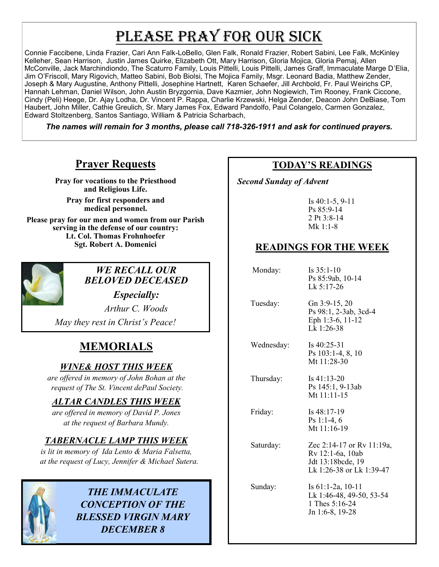# PLEASE PRAY FOR OUR SICK

Connie Faccibene, Linda Frazier, Cari Ann Falk-LoBello, Glen Falk, Ronald Frazier, Robert Sabini, Lee Falk, McKinley Kelleher, Sean Harrison, Justin James Quirke, Elizabeth Ott, Mary Harrison, Gloria Mojica, Gloria Pemaj, Allen McConville, Jack Marchindiondo, The Scaturro Family, Louis Pittelli, Louis Pittelli, James Graff, Immaculate Marge D'Elia, Jim O'Friscoll, Mary Rigovich, Matteo Sabini, Bob Biolsi, The Mojica Family, Msgr. Leonard Badia, Matthew Zender, Joseph & Mary Augustine, Anthony Pittelli, Josephine Hartnett, Karen Schaefer, Jill Archbold, Fr. Paul Weirichs CP, Hannah Lehman, Daniel Wilson, John Austin Bryzgornia, Dave Kazmier, John Nogiewich, Tim Rooney, Frank Ciccone, Cindy (Peli) Heege, Dr. Ajay Lodha, Dr. Vincent P. Rappa, Charlie Krzewski, Helga Zender, Deacon John DeBiase, Tom Haubert, John Miller, Cathie Greulich, Sr. Mary James Fox, Edward Pandolfo, Paul Colangelo, Carmen Gonzalez, Edward Stoltzenberg, Santos Santiago, William & Patricia Scharbach,

*The names will remain for 3 months, please call 718-326-1911 and ask for continued prayers.*

## **Prayer Requests**

**Pray for vocations to the Priesthood and Religious Life.** 

**Pray for first responders and medical personnel.**

**Please pray for our men and women from our Parish serving in the defense of our country: Lt. Col. Thomas Frohnhoefer Sgt. Robert A. Domenici** 



## *WE RECALL OUR BELOVED DECEASED*

*Especially:*

*Arthur C. Woods May they rest in Christ's Peace!*

## **MEMORIALS**

## *WINE& HOST THIS WEEK*

*are offered in memory of John Bohan at the request of The St. Vincent dePaul Society.*

## *ALTAR CANDLES THIS WEEK*

*are offered in memory of David P. Jones at the request of Barbara Mundy.*

## *TABERNACLE LAMP THIS WEEK*

*is lit in memory of Ida Lento & Maria Falsetta, at the request of Lucy, Jennifer & Michael Sutera.*



*THE IMMACULATE CONCEPTION OF THE BLESSED VIRGIN MARY DECEMBER 8*

## **TODAY'S READINGS**

 *Second Sunday of Advent* 

Is 40:1-5, 9-11 Ps 85:9-14 2 Pt 3:8-14 Mk 1:1-8

## **READINGS FOR THE WEEK**

 Monday: Is 35:1-10 Ps 85:9ab, 10-14 Lk 5:17-26 Tuesday: Gn 3:9-15, 20 Ps 98:1, 2-3ab, 3cd-4 Eph 1:3-6, 11-12 Lk 1:26-38 Wednesday: Is 40:25-31 Ps 103:1-4, 8, 10 Mt 11:28-30 Thursday: Is 41:13-20 Ps 145:1, 9-13ab Mt 11:11-15 Friday: Is 48:17-19 Ps 1:1-4, 6 Mt 11:16-19 Saturday: Zec 2:14-17 or Rv 11:19a, Rv 12:1-6a, 10ab Jdt 13:18bcde, 19 Lk 1:26-38 or Lk 1:39-47

 Sunday: Is 61:1-2a, 10-11 Lk 1:46-48, 49-50, 53-54 1 Thes 5:16-24 Jn 1:6-8, 19-28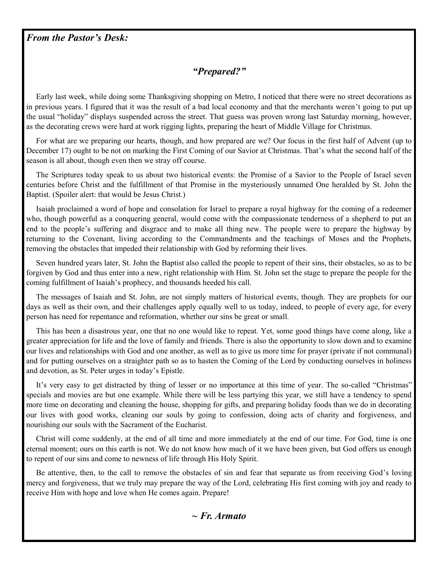#### *From the Pastor's Desk:*

## *"Prepared?"*

 Early last week, while doing some Thanksgiving shopping on Metro, I noticed that there were no street decorations as in previous years. I figured that it was the result of a bad local economy and that the merchants weren't going to put up the usual "holiday" displays suspended across the street. That guess was proven wrong last Saturday morning, however, as the decorating crews were hard at work rigging lights, preparing the heart of Middle Village for Christmas.

 For what are we preparing our hearts, though, and how prepared are we? Our focus in the first half of Advent (up to December 17) ought to be not on marking the First Coming of our Savior at Christmas. That's what the second half of the season is all about, though even then we stray off course.

 The Scriptures today speak to us about two historical events: the Promise of a Savior to the People of Israel seven centuries before Christ and the fulfillment of that Promise in the mysteriously unnamed One heralded by St. John the Baptist. (Spoiler alert: that would be Jesus Christ.)

 Isaiah proclaimed a word of hope and consolation for Israel to prepare a royal highway for the coming of a redeemer who, though powerful as a conquering general, would come with the compassionate tenderness of a shepherd to put an end to the people's suffering and disgrace and to make all thing new. The people were to prepare the highway by returning to the Covenant, living according to the Commandments and the teachings of Moses and the Prophets, removing the obstacles that impeded their relationship with God by reforming their lives.

 Seven hundred years later, St. John the Baptist also called the people to repent of their sins, their obstacles, so as to be forgiven by God and thus enter into a new, right relationship with Him. St. John set the stage to prepare the people for the coming fulfillment of Isaiah's prophecy, and thousands heeded his call.

 The messages of Isaiah and St. John, are not simply matters of historical events, though. They are prophets for our days as well as their own, and their challenges apply equally well to us today, indeed, to people of every age, for every person has need for repentance and reformation, whether our sins be great or small.

 This has been a disastrous year, one that no one would like to repeat. Yet, some good things have come along, like a greater appreciation for life and the love of family and friends. There is also the opportunity to slow down and to examine our lives and relationships with God and one another, as well as to give us more time for prayer (private if not communal) and for putting ourselves on a straighter path so as to hasten the Coming of the Lord by conducting ourselves in holiness and devotion, as St. Peter urges in today's Epistle.

 It's very easy to get distracted by thing of lesser or no importance at this time of year. The so-called "Christmas" specials and movies are but one example. While there will be less partying this year, we still have a tendency to spend more time on decorating and cleaning the house, shopping for gifts, and preparing holiday foods than we do in decorating our lives with good works, cleaning our souls by going to confession, doing acts of charity and forgiveness, and nourishing our souls with the Sacrament of the Eucharist.

 Christ will come suddenly, at the end of all time and more immediately at the end of our time. For God, time is one eternal moment; ours on this earth is not. We do not know how much of it we have been given, but God offers us enough to repent of our sins and come to newness of life through His Holy Spirit.

 Be attentive, then, to the call to remove the obstacles of sin and fear that separate us from receiving God's loving mercy and forgiveness, that we truly may prepare the way of the Lord, celebrating His first coming with joy and ready to receive Him with hope and love when He comes again. Prepare!

#### *~ Fr. Armato*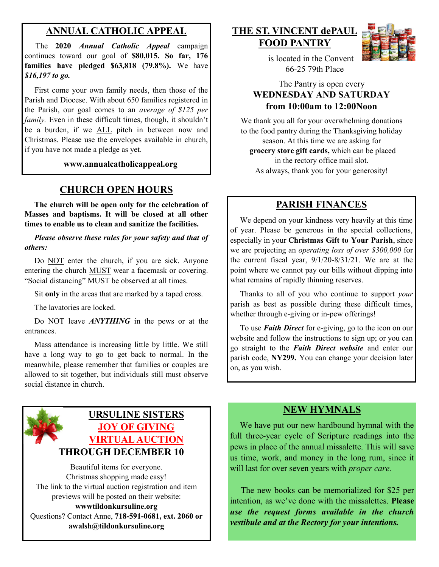## **ANNUAL CATHOLIC APPEAL**

 The **2020** *Annual Catholic Appeal* campaign continues toward our goal of **\$80,015. So far, 176 families have pledged \$63,818 (79.8%).** We have *\$16,197 to go.* 

 First come your own family needs, then those of the Parish and Diocese. With about 650 families registered in the Parish, our goal comes to an *average of \$125 per family*. Even in these difficult times, though, it shouldn't be a burden, if we ALL pitch in between now and Christmas. Please use the envelopes available in church, if you have not made a pledge as yet.

**www.annualcatholicappeal.org** 

## **CHURCH OPEN HOURS**

 **The church will be open only for the celebration of Masses and baptisms. It will be closed at all other times to enable us to clean and sanitize the facilities.**

 *Please observe these rules for your safety and that of others:*

Do NOT enter the church, if you are sick. Anyone entering the church MUST wear a facemask or covering. "Social distancing" MUST be observed at all times.

Sit **only** in the areas that are marked by a taped cross.

The lavatories are locked.

 Do NOT leave *ANYTHING* in the pews or at the entrances.

 Mass attendance is increasing little by little. We still have a long way to go to get back to normal. In the meanwhile, please remember that families or couples are allowed to sit together, but individuals still must observe social distance in church.

## **URSULINE SISTERS JOY OF GIVING VIRTUAL AUCTION THROUGH DECEMBER 10**

Beautiful items for everyone. Christmas shopping made easy! The link to the virtual auction registration and item previews will be posted on their website: **wwwtildonkursuline.org** Questions? Contact Anne, **718-591-0681, ext. 2060 or awalsh@tildonkursuline.org**

#### **THE ST. VINCENT dePAUL FOOD PANTRY**



 is located in the Convent 66-25 79th Place

#### The Pantry is open every **WEDNESDAY AND SATURDAY from 10:00am to 12:00Noon**

We thank you all for your overwhelming donations to the food pantry during the Thanksgiving holiday season. At this time we are asking for

**grocery store gift cards,** which can be placed in the rectory office mail slot. As always, thank you for your generosity!

## **PARISH FINANCES**

 We depend on your kindness very heavily at this time of year. Please be generous in the special collections, especially in your **Christmas Gift to Your Parish**, since we are projecting an *operating loss of over \$300,000* for the current fiscal year, 9/1/20-8/31/21. We are at the point where we cannot pay our bills without dipping into what remains of rapidly thinning reserves.

 Thanks to all of you who continue to support *your*  parish as best as possible during these difficult times, whether through e-giving or in-pew offerings!

 To use *Faith Direct* for e-giving, go to the icon on our website and follow the instructions to sign up; or you can go straight to the *Faith Direct website* and enter our parish code, **NY299.** You can change your decision later on, as you wish.

#### **NEW HYMNALS**

 We have put our new hardbound hymnal with the full three-year cycle of Scripture readings into the pews in place of the annual missalette. This will save us time, work, and money in the long rum, since it will last for over seven years with *proper care.*

The new books can be memorialized for \$25 per intention, as we've done with the missalettes. **Please**  *use the request forms available in the church vestibule and at the Rectory for your intentions.*